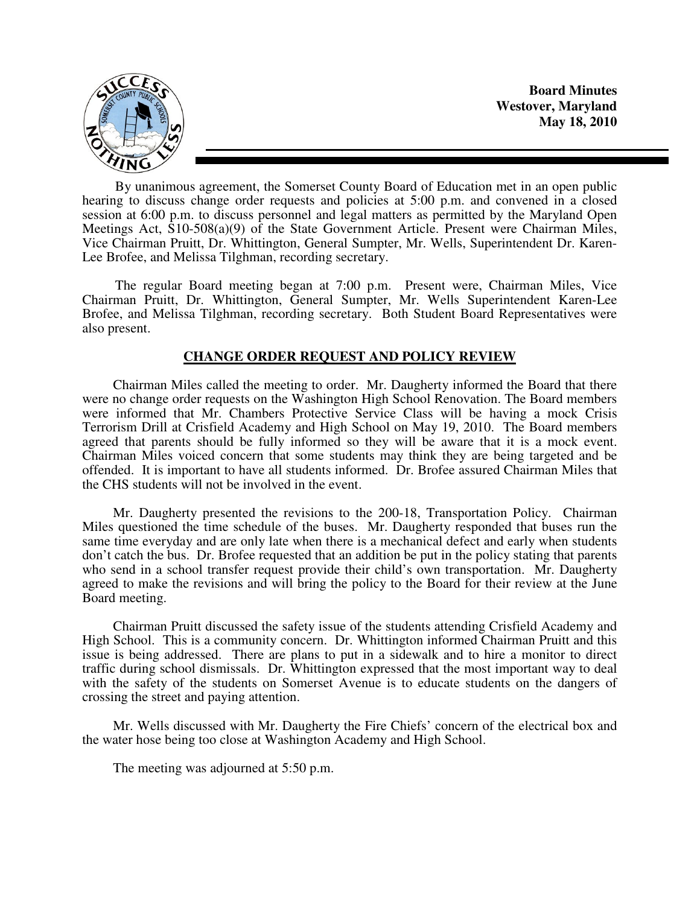

By unanimous agreement, the Somerset County Board of Education met in an open public hearing to discuss change order requests and policies at 5:00 p.m. and convened in a closed session at 6:00 p.m. to discuss personnel and legal matters as permitted by the Maryland Open Meetings Act, S10-508(a)(9) of the State Government Article. Present were Chairman Miles, Vice Chairman Pruitt, Dr. Whittington, General Sumpter, Mr. Wells, Superintendent Dr. Karen-Lee Brofee, and Melissa Tilghman, recording secretary.

The regular Board meeting began at 7:00 p.m. Present were, Chairman Miles, Vice Chairman Pruitt, Dr. Whittington, General Sumpter, Mr. Wells Superintendent Karen-Lee Brofee, and Melissa Tilghman, recording secretary. Both Student Board Representatives were also present.

# **CHANGE ORDER REQUEST AND POLICY REVIEW**

 Chairman Miles called the meeting to order. Mr. Daugherty informed the Board that there were no change order requests on the Washington High School Renovation. The Board members were informed that Mr. Chambers Protective Service Class will be having a mock Crisis Terrorism Drill at Crisfield Academy and High School on May 19, 2010. The Board members agreed that parents should be fully informed so they will be aware that it is a mock event. Chairman Miles voiced concern that some students may think they are being targeted and be offended. It is important to have all students informed. Dr. Brofee assured Chairman Miles that the CHS students will not be involved in the event.

 Mr. Daugherty presented the revisions to the 200-18, Transportation Policy. Chairman Miles questioned the time schedule of the buses. Mr. Daugherty responded that buses run the same time everyday and are only late when there is a mechanical defect and early when students don't catch the bus. Dr. Brofee requested that an addition be put in the policy stating that parents who send in a school transfer request provide their child's own transportation. Mr. Daugherty agreed to make the revisions and will bring the policy to the Board for their review at the June Board meeting.

 Chairman Pruitt discussed the safety issue of the students attending Crisfield Academy and High School. This is a community concern. Dr. Whittington informed Chairman Pruitt and this issue is being addressed. There are plans to put in a sidewalk and to hire a monitor to direct traffic during school dismissals. Dr. Whittington expressed that the most important way to deal with the safety of the students on Somerset Avenue is to educate students on the dangers of crossing the street and paying attention.

 Mr. Wells discussed with Mr. Daugherty the Fire Chiefs' concern of the electrical box and the water hose being too close at Washington Academy and High School.

The meeting was adjourned at 5:50 p.m.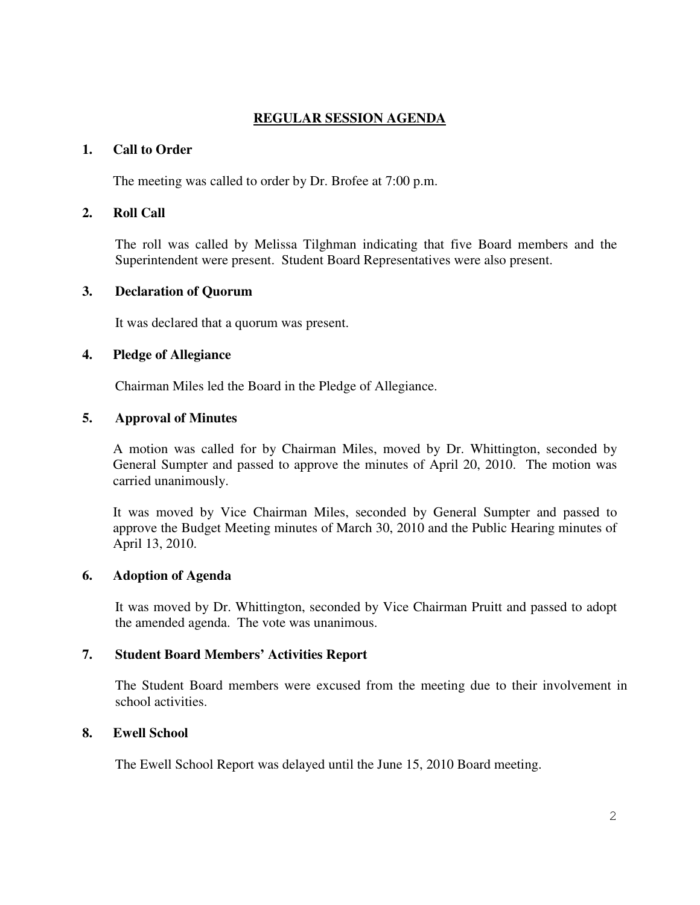# **REGULAR SESSION AGENDA**

### **1. Call to Order**

The meeting was called to order by Dr. Brofee at 7:00 p.m.

# **2. Roll Call**

The roll was called by Melissa Tilghman indicating that five Board members and the Superintendent were present. Student Board Representatives were also present.

# **3. Declaration of Quorum**

It was declared that a quorum was present.

# **4. Pledge of Allegiance**

Chairman Miles led the Board in the Pledge of Allegiance.

# **5. Approval of Minutes**

A motion was called for by Chairman Miles, moved by Dr. Whittington, seconded by General Sumpter and passed to approve the minutes of April 20, 2010. The motion was carried unanimously.

It was moved by Vice Chairman Miles, seconded by General Sumpter and passed to approve the Budget Meeting minutes of March 30, 2010 and the Public Hearing minutes of April 13, 2010.

# **6. Adoption of Agenda**

 It was moved by Dr. Whittington, seconded by Vice Chairman Pruitt and passed to adopt the amended agenda. The vote was unanimous.

# **7. Student Board Members' Activities Report**

The Student Board members were excused from the meeting due to their involvement in school activities.

# **8. Ewell School**

The Ewell School Report was delayed until the June 15, 2010 Board meeting.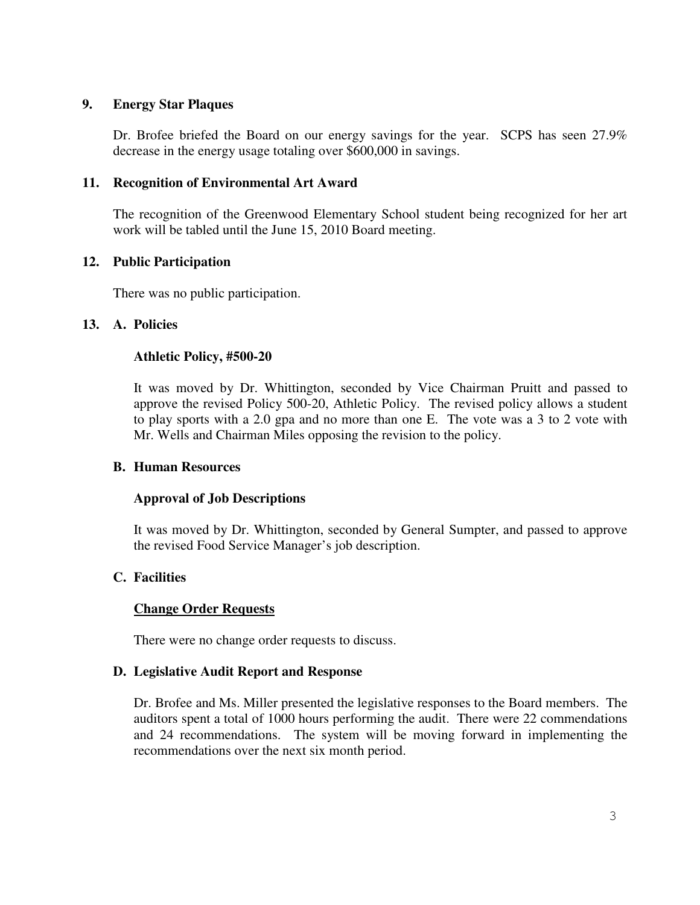# **9. Energy Star Plaques**

Dr. Brofee briefed the Board on our energy savings for the year. SCPS has seen 27.9% decrease in the energy usage totaling over \$600,000 in savings.

# **11. Recognition of Environmental Art Award**

The recognition of the Greenwood Elementary School student being recognized for her art work will be tabled until the June 15, 2010 Board meeting.

### **12. Public Participation**

There was no public participation.

### **13. A. Policies**

### **Athletic Policy, #500-20**

It was moved by Dr. Whittington, seconded by Vice Chairman Pruitt and passed to approve the revised Policy 500-20, Athletic Policy. The revised policy allows a student to play sports with a 2.0 gpa and no more than one E. The vote was a 3 to 2 vote with Mr. Wells and Chairman Miles opposing the revision to the policy.

#### **B. Human Resources**

#### **Approval of Job Descriptions**

It was moved by Dr. Whittington, seconded by General Sumpter, and passed to approve the revised Food Service Manager's job description.

# **C. Facilities**

# **Change Order Requests**

There were no change order requests to discuss.

#### **D. Legislative Audit Report and Response**

Dr. Brofee and Ms. Miller presented the legislative responses to the Board members. The auditors spent a total of 1000 hours performing the audit. There were 22 commendations and 24 recommendations. The system will be moving forward in implementing the recommendations over the next six month period.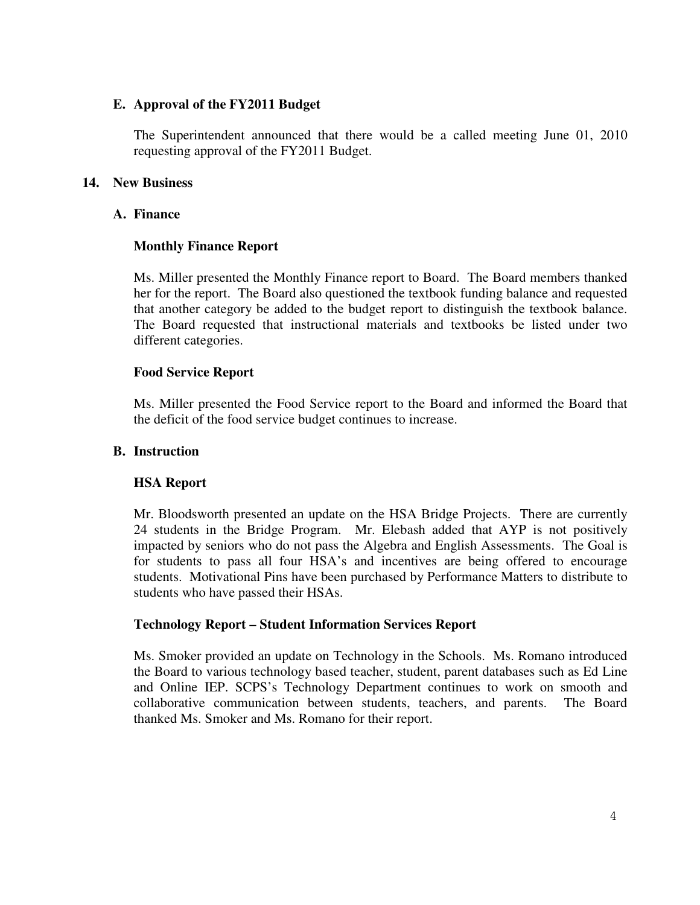# **E. Approval of the FY2011 Budget**

The Superintendent announced that there would be a called meeting June 01, 2010 requesting approval of the FY2011 Budget.

# **14. New Business**

# **A. Finance**

# **Monthly Finance Report**

Ms. Miller presented the Monthly Finance report to Board. The Board members thanked her for the report. The Board also questioned the textbook funding balance and requested that another category be added to the budget report to distinguish the textbook balance. The Board requested that instructional materials and textbooks be listed under two different categories.

# **Food Service Report**

Ms. Miller presented the Food Service report to the Board and informed the Board that the deficit of the food service budget continues to increase.

# **B. Instruction**

# **HSA Report**

Mr. Bloodsworth presented an update on the HSA Bridge Projects. There are currently 24 students in the Bridge Program. Mr. Elebash added that AYP is not positively impacted by seniors who do not pass the Algebra and English Assessments. The Goal is for students to pass all four HSA's and incentives are being offered to encourage students. Motivational Pins have been purchased by Performance Matters to distribute to students who have passed their HSAs.

# **Technology Report – Student Information Services Report**

Ms. Smoker provided an update on Technology in the Schools. Ms. Romano introduced the Board to various technology based teacher, student, parent databases such as Ed Line and Online IEP. SCPS's Technology Department continues to work on smooth and collaborative communication between students, teachers, and parents. The Board thanked Ms. Smoker and Ms. Romano for their report.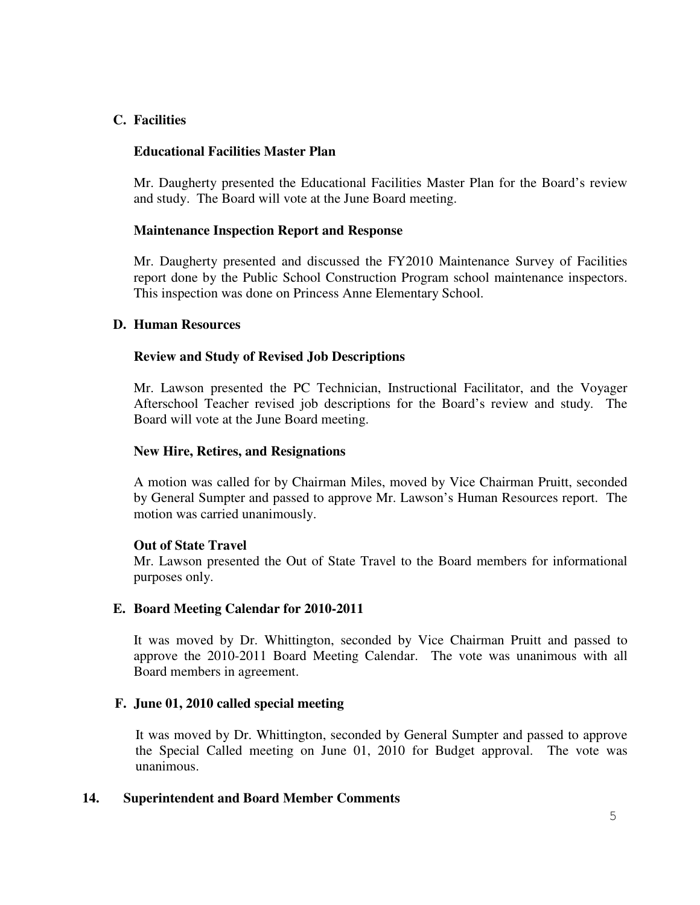# **C. Facilities**

### **Educational Facilities Master Plan**

Mr. Daugherty presented the Educational Facilities Master Plan for the Board's review and study. The Board will vote at the June Board meeting.

### **Maintenance Inspection Report and Response**

Mr. Daugherty presented and discussed the FY2010 Maintenance Survey of Facilities report done by the Public School Construction Program school maintenance inspectors. This inspection was done on Princess Anne Elementary School.

### **D. Human Resources**

### **Review and Study of Revised Job Descriptions**

Mr. Lawson presented the PC Technician, Instructional Facilitator, and the Voyager Afterschool Teacher revised job descriptions for the Board's review and study. The Board will vote at the June Board meeting.

### **New Hire, Retires, and Resignations**

A motion was called for by Chairman Miles, moved by Vice Chairman Pruitt, seconded by General Sumpter and passed to approve Mr. Lawson's Human Resources report. The motion was carried unanimously.

#### **Out of State Travel**

Mr. Lawson presented the Out of State Travel to the Board members for informational purposes only.

# **E. Board Meeting Calendar for 2010-2011**

It was moved by Dr. Whittington, seconded by Vice Chairman Pruitt and passed to approve the 2010-2011 Board Meeting Calendar. The vote was unanimous with all Board members in agreement.

# **F. June 01, 2010 called special meeting**

It was moved by Dr. Whittington, seconded by General Sumpter and passed to approve the Special Called meeting on June 01, 2010 for Budget approval. The vote was unanimous.

#### **14. Superintendent and Board Member Comments**